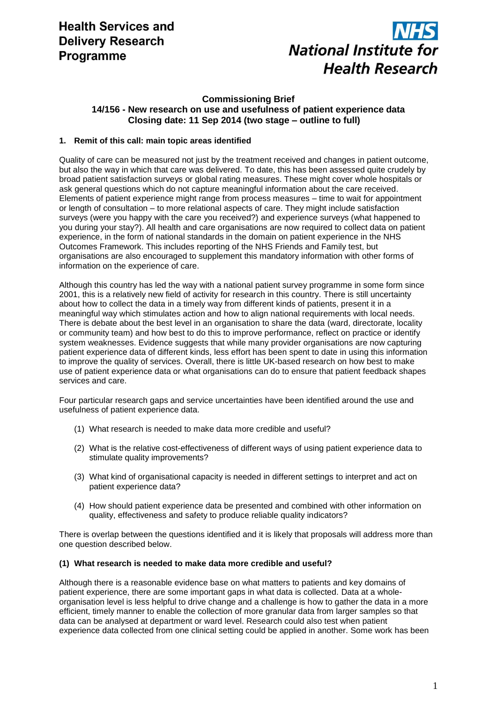# **Health Services and Delivery Research** Programme



## **Commissioning Brief 14/156 - New research on use and usefulness of patient experience data Closing date: 11 Sep 2014 (two stage – outline to full)**

## **1. Remit of this call: main topic areas identified**

Quality of care can be measured not just by the treatment received and changes in patient outcome, but also the way in which that care was delivered. To date, this has been assessed quite crudely by broad patient satisfaction surveys or global rating measures. These might cover whole hospitals or ask general questions which do not capture meaningful information about the care received. Elements of patient experience might range from process measures – time to wait for appointment or length of consultation – to more relational aspects of care. They might include satisfaction surveys (were you happy with the care you received?) and experience surveys (what happened to you during your stay?). All health and care organisations are now required to collect data on patient experience, in the form of national standards in the domain on patient experience in the NHS Outcomes Framework. This includes reporting of the NHS Friends and Family test, but organisations are also encouraged to supplement this mandatory information with other forms of information on the experience of care.

Although this country has led the way with a national patient survey programme in some form since 2001, this is a relatively new field of activity for research in this country. There is still uncertainty about how to collect the data in a timely way from different kinds of patients, present it in a meaningful way which stimulates action and how to align national requirements with local needs. There is debate about the best level in an organisation to share the data (ward, directorate, locality or community team) and how best to do this to improve performance, reflect on practice or identify system weaknesses. Evidence suggests that while many provider organisations are now capturing patient experience data of different kinds, less effort has been spent to date in using this information to improve the quality of services. Overall, there is little UK-based research on how best to make use of patient experience data or what organisations can do to ensure that patient feedback shapes services and care.

Four particular research gaps and service uncertainties have been identified around the use and usefulness of patient experience data.

- (1) What research is needed to make data more credible and useful?
- (2) What is the relative cost-effectiveness of different ways of using patient experience data to stimulate quality improvements?
- (3) What kind of organisational capacity is needed in different settings to interpret and act on patient experience data?
- (4) How should patient experience data be presented and combined with other information on quality, effectiveness and safety to produce reliable quality indicators?

There is overlap between the questions identified and it is likely that proposals will address more than one question described below.

#### **(1) What research is needed to make data more credible and useful?**

Although there is a reasonable evidence base on what matters to patients and key domains of patient experience, there are some important gaps in what data is collected. Data at a wholeorganisation level is less helpful to drive change and a challenge is how to gather the data in a more efficient, timely manner to enable the collection of more granular data from larger samples so that data can be analysed at department or ward level. Research could also test when patient experience data collected from one clinical setting could be applied in another. Some work has been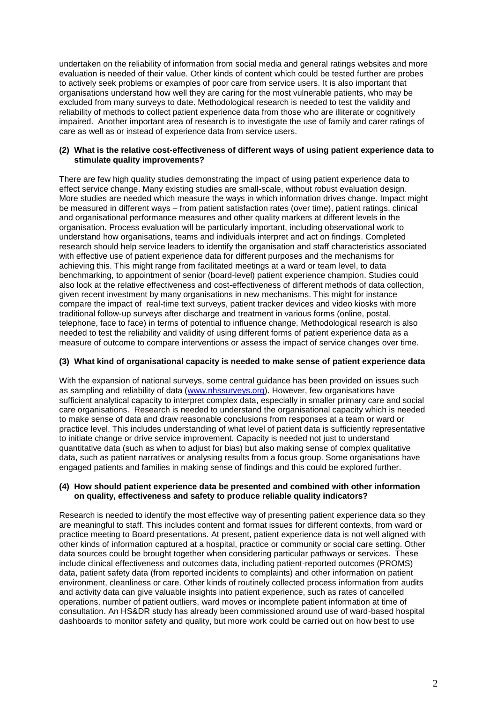undertaken on the reliability of information from social media and general ratings websites and more evaluation is needed of their value. Other kinds of content which could be tested further are probes to actively seek problems or examples of poor care from service users. It is also important that organisations understand how well they are caring for the most vulnerable patients, who may be excluded from many surveys to date. Methodological research is needed to test the validity and reliability of methods to collect patient experience data from those who are illiterate or cognitively impaired. Another important area of research is to investigate the use of family and carer ratings of care as well as or instead of experience data from service users.

#### **(2) What is the relative cost-effectiveness of different ways of using patient experience data to stimulate quality improvements?**

There are few high quality studies demonstrating the impact of using patient experience data to effect service change. Many existing studies are small-scale, without robust evaluation design. More studies are needed which measure the ways in which information drives change. Impact might be measured in different ways – from patient satisfaction rates (over time), patient ratings, clinical and organisational performance measures and other quality markers at different levels in the organisation. Process evaluation will be particularly important, including observational work to understand how organisations, teams and individuals interpret and act on findings. Completed research should help service leaders to identify the organisation and staff characteristics associated with effective use of patient experience data for different purposes and the mechanisms for achieving this. This might range from facilitated meetings at a ward or team level, to data benchmarking, to appointment of senior (board-level) patient experience champion. Studies could also look at the relative effectiveness and cost-effectiveness of different methods of data collection, given recent investment by many organisations in new mechanisms. This might for instance compare the impact of real-time text surveys, patient tracker devices and video kiosks with more traditional follow-up surveys after discharge and treatment in various forms (online, postal, telephone, face to face) in terms of potential to influence change. Methodological research is also needed to test the reliability and validity of using different forms of patient experience data as a measure of outcome to compare interventions or assess the impact of service changes over time.

## **(3) What kind of organisational capacity is needed to make sense of patient experience data**

With the expansion of national surveys, some central guidance has been provided on issues such as sampling and reliability of data [\(www.nhssurveys.org\)](http://www.nhssurveys.org/). However, few organisations have sufficient analytical capacity to interpret complex data, especially in smaller primary care and social care organisations. Research is needed to understand the organisational capacity which is needed to make sense of data and draw reasonable conclusions from responses at a team or ward or practice level. This includes understanding of what level of patient data is sufficiently representative to initiate change or drive service improvement. Capacity is needed not just to understand quantitative data (such as when to adjust for bias) but also making sense of complex qualitative data, such as patient narratives or analysing results from a focus group. Some organisations have engaged patients and families in making sense of findings and this could be explored further.

#### **(4) How should patient experience data be presented and combined with other information on quality, effectiveness and safety to produce reliable quality indicators?**

Research is needed to identify the most effective way of presenting patient experience data so they are meaningful to staff. This includes content and format issues for different contexts, from ward or practice meeting to Board presentations. At present, patient experience data is not well aligned with other kinds of information captured at a hospital, practice or community or social care setting. Other data sources could be brought together when considering particular pathways or services. These include clinical effectiveness and outcomes data, including patient-reported outcomes (PROMS) data, patient safety data (from reported incidents to complaints) and other information on patient environment, cleanliness or care. Other kinds of routinely collected process information from audits and activity data can give valuable insights into patient experience, such as rates of cancelled operations, number of patient outliers, ward moves or incomplete patient information at time of consultation. An HS&DR study has already been commissioned around use of ward-based hospital dashboards to monitor safety and quality, but more work could be carried out on how best to use